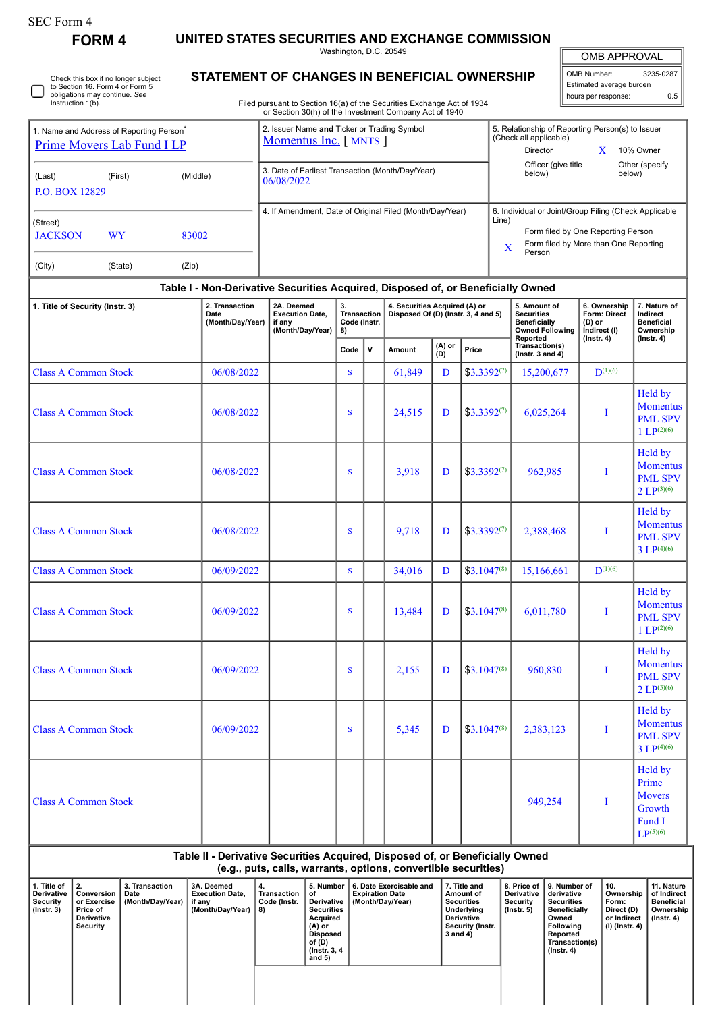## SEC Form 4

**FORM 4 UNITED STATES SECURITIES AND EXCHANGE COMMISSION**

Washington, D.C. 20549

OMB APPROVAL

| Check this box if no longer subject<br>to Section 16. Form 4 or Form 5 | <b>STATEMENT OF CHANGES IN BENEFICIAL OWNERSHIP</b>                                                                              |               |  |  |  |  |  |
|------------------------------------------------------------------------|----------------------------------------------------------------------------------------------------------------------------------|---------------|--|--|--|--|--|
| obligations may continue. See<br>Instruction 1(b).                     | Filed pursuant to Section 16(a) of the Securities Exchange Act of 1934<br>or Section 30(h) of the Investment Company Act of 1940 |               |  |  |  |  |  |
| 1. Name and Address of Reporting Person <sup>®</sup>                   | 2. Issuer Name and Ticker or Trading Symbol                                                                                      | 5. Relationsl |  |  |  |  |  |

## OMB Number: 3235-0287 Estimated average burden hours per response: 0.5

| 5. Relationship of Reporting Person(s) to Issuer<br>(Check all applicable) |   |           |  |
|----------------------------------------------------------------------------|---|-----------|--|
| Director                                                                   | X | 10% Owner |  |
|                                                                            |   |           |  |

| <b>Prime Movers Lab Fund I LP</b>       |                      |                                    |                                                                         | Momentus Inc. [ MNTS ]                                                           |              |                               |        |                                     |                                                                                    | (Check all applicable)<br>Director                                                                                                             | X                                                          | 10% Owner        |
|-----------------------------------------|----------------------|------------------------------------|-------------------------------------------------------------------------|----------------------------------------------------------------------------------|--------------|-------------------------------|--------|-------------------------------------|------------------------------------------------------------------------------------|------------------------------------------------------------------------------------------------------------------------------------------------|------------------------------------------------------------|------------------|
| (Last)<br>P.O. BOX 12829                | (First)              | (Middle)                           |                                                                         | 3. Date of Earliest Transaction (Month/Day/Year)<br>06/08/2022                   |              |                               |        |                                     | Officer (give title<br>below)                                                      |                                                                                                                                                | Other (specify)<br>below)                                  |                  |
| (Street)<br><b>JACKSON</b><br>(City)    | <b>WY</b><br>(State) | 83002<br>(Zip)                     |                                                                         | 4. If Amendment, Date of Original Filed (Month/Day/Year)                         |              |                               |        |                                     | Line)<br>X                                                                         | 6. Individual or Joint/Group Filing (Check Applicable<br>Form filed by One Reporting Person<br>Form filed by More than One Reporting<br>Person |                                                            |                  |
|                                         |                      |                                    |                                                                         | Table I - Non-Derivative Securities Acquired, Disposed of, or Beneficially Owned |              |                               |        |                                     |                                                                                    |                                                                                                                                                |                                                            |                  |
| 1. Title of Security (Instr. 3)<br>Date |                      | 2. Transaction<br>(Month/Day/Year) | 2A. Deemed<br><b>Execution Date.</b><br>if any<br>(Month/Day/Year)   8) | 3.<br><b>Transaction</b><br>Code (Instr.                                         |              | 4. Securities Acquired (A) or |        | Disposed Of (D) (Instr. 3, 4 and 5) | 5. Amount of<br><b>Securities</b><br><b>Beneficially</b><br><b>Owned Following</b> | 6. Ownership<br>Form: Direct<br>(D) or<br>Indirect (I)                                                                                         | 7. Nature of<br>Indirect<br><b>Beneficial</b><br>Ownership |                  |
|                                         |                      |                                    |                                                                         |                                                                                  | Code         | v                             | Amount | (A) or<br>(D)                       | Price                                                                              | Reported<br>Transaction(s)<br>( $lnstr. 3 and 4$ )                                                                                             | $($ Instr. 4 $)$                                           | $($ lnstr. 4 $)$ |
| <b>Class A Common Stock</b>             |                      |                                    | 06/08/2022                                                              |                                                                                  | <sub>S</sub> |                               | 61,849 | D                                   | $$3.3392^{(7)}$                                                                    | 15,200,677                                                                                                                                     | $D^{(1)(6)}$                                               |                  |

| <b>Class A Common Stock</b> | 06/08/2022 | S | 61,849 | D | $$3.3392^{(7)}$  | 15,200,677 | $D^{(1)(6)}$ |                                                                               |
|-----------------------------|------------|---|--------|---|------------------|------------|--------------|-------------------------------------------------------------------------------|
| <b>Class A Common Stock</b> | 06/08/2022 | S | 24,515 | D | $$3.3392^{(7)}$  | 6,025,264  | I            | Held by<br><b>Momentus</b><br><b>PML SPV</b><br>$1 LP^{(2)(6)}$               |
| <b>Class A Common Stock</b> | 06/08/2022 | S | 3,918  | D | $$3.3392^{(7)}$$ | 962,985    | I            | Held by<br><b>Momentus</b><br><b>PML SPV</b><br>$2 LP^{(3)(6)}$               |
| <b>Class A Common Stock</b> | 06/08/2022 | S | 9,718  | D | $$3.3392^{(7)}$  | 2,388,468  | $\bf{I}$     | Held by<br><b>Momentus</b><br><b>PML SPV</b><br>$3 LP^{(4)(6)}$               |
| <b>Class A Common Stock</b> | 06/09/2022 | S | 34,016 | D | $$3.1047^{(8)}$  | 15,166,661 | $D^{(1)(6)}$ |                                                                               |
| <b>Class A Common Stock</b> | 06/09/2022 | S | 13,484 | D | $$3.1047^{(8)}$  | 6,011,780  | Ι            | Held by<br><b>Momentus</b><br><b>PML SPV</b><br>$1 LP^{(2)(6)}$               |
| <b>Class A Common Stock</b> | 06/09/2022 | S | 2,155  | D | $$3.1047^{(8)}$  | 960,830    | Ι            | Held by<br><b>Momentus</b><br><b>PML SPV</b><br>$2 LP^{(3)(6)}$               |
| <b>Class A Common Stock</b> | 06/09/2022 | S | 5,345  | D | $$3.1047^{(8)}$  | 2,383,123  | $\bf{I}$     | Held by<br><b>Momentus</b><br><b>PML SPV</b><br>$3 LP^{(4)(6)}$               |
| <b>Class A Common Stock</b> |            |   |        |   |                  | 949,254    | I            | Held by<br>Prime<br><b>Movers</b><br>Growth<br>Fund I<br>LP <sup>(5)(6)</sup> |

**Table II - Derivative Securities Acquired, Disposed of, or Beneficially Owned (e.g., puts, calls, warrants, options, convertible securities)**

| 1. Title of<br><b>Derivative</b><br>Security<br>(Instr. 3) | 1 2.<br>Conversion<br>or Exercise<br>, Price of<br><b>Derivative</b><br>Security | 3. Transaction<br>Date<br>(Month/Day/Year) | 3A. Deemed<br><b>Execution Date.</b><br>if any<br>(Month/Day/Year) | 4.<br>Transaction<br>Code (Instr.<br>8) | 5. Number<br>οf<br>Derivative<br><b>Securities</b><br>Acquired<br>(A) or<br>Disposed<br>of (D)<br>(Instr. 3, 4)<br>and $5)$ | 6. Date Exercisable and<br><b>Expiration Date</b><br>(Month/Day/Year) | 7. Title and<br>Amount of<br><b>Securities</b><br>Underlying<br><b>Derivative</b><br>Security (Instr.<br>3 and 4) | 8. Price of<br><b>Derivative</b><br>Security<br>(Instr. 5) | 9. Number of<br>derivative<br>Securities<br><b>Beneficially</b><br>Owned<br>Following<br>Reported<br>Transaction(s)<br>$($ lnstr. 4 $)$ | 10.<br>Ownership<br>Form:<br>Direct (D)<br>or Indirect<br>(I) (Instr. 4) | 11. Nature<br>of Indirect<br><b>Beneficial</b><br>Ownership<br>(Instr. 4) |
|------------------------------------------------------------|----------------------------------------------------------------------------------|--------------------------------------------|--------------------------------------------------------------------|-----------------------------------------|-----------------------------------------------------------------------------------------------------------------------------|-----------------------------------------------------------------------|-------------------------------------------------------------------------------------------------------------------|------------------------------------------------------------|-----------------------------------------------------------------------------------------------------------------------------------------|--------------------------------------------------------------------------|---------------------------------------------------------------------------|
|                                                            |                                                                                  |                                            |                                                                    |                                         |                                                                                                                             |                                                                       |                                                                                                                   |                                                            |                                                                                                                                         |                                                                          |                                                                           |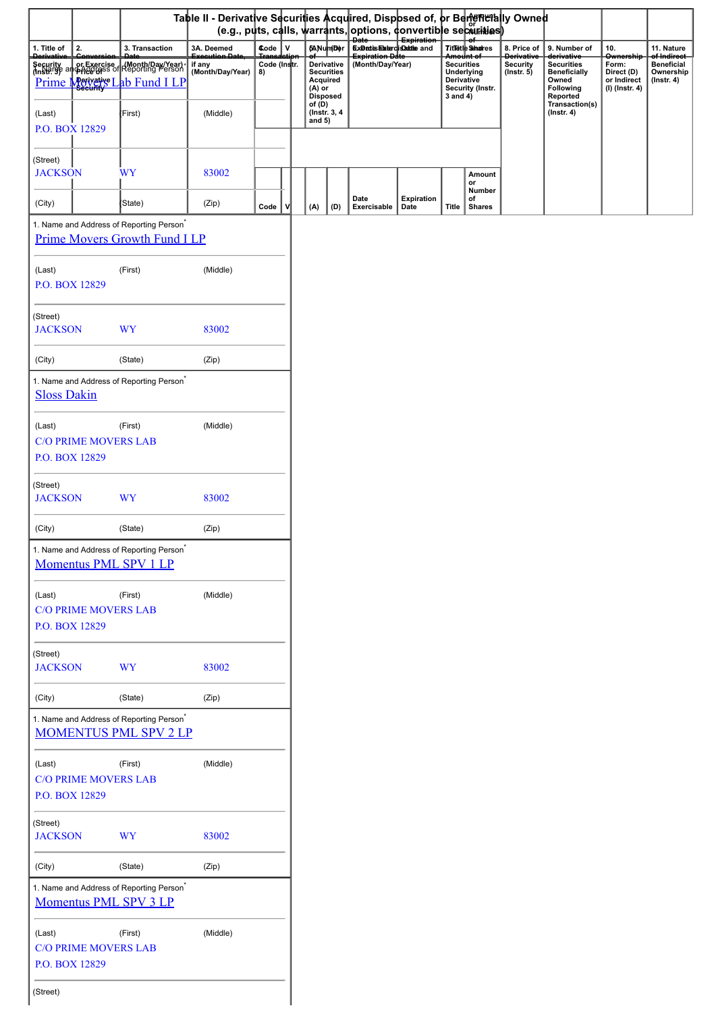|                                       |                                                                                                         | Table II - Derivative Securities Acquired, Disposed of, or Bentemetally Owned |                    |                                  |                                 |                                                                                   |                           |                                             |                                         |                                    |                                                                                              |                                                      |                                                    |
|---------------------------------------|---------------------------------------------------------------------------------------------------------|-------------------------------------------------------------------------------|--------------------|----------------------------------|---------------------------------|-----------------------------------------------------------------------------------|---------------------------|---------------------------------------------|-----------------------------------------|------------------------------------|----------------------------------------------------------------------------------------------|------------------------------------------------------|----------------------------------------------------|
|                                       |                                                                                                         |                                                                               |                    |                                  |                                 | (e.g., puts, calls, warrants, options, donvertible securities)<br><del>Date</del> | Expiration                |                                             |                                         |                                    |                                                                                              |                                                      |                                                    |
| 2.<br>1. Title of<br><b>Derivativ</b> | 3. Transaction                                                                                          | 3A. Deemed<br>.<br>weeyii an Pei                                              | Code V             |                                  | 6ANumDer                        | <b>Experte Elstercis Rettle and</b><br><b>Expiration Date</b>                     |                           |                                             | Titletle Shares<br><del>Amount of</del> | 8. Price of<br><b>Derivative</b>   | 9. Number of<br>derivative                                                                   | 10.<br>Ownership                                     | 11. Nature<br>of Indirect                          |
| Prime Merivative L                    | Security or Exercise (Month/Day/Year)<br>(Instr. get all price gets of Reporting Person<br>Ab Fund I LP | if any<br>(Month/Day/Year)                                                    | Code (Instr.<br>8) | Acquired<br>$(A)$ or<br>Disposed | Derivative<br><b>Securities</b> | (Month/Day/Year)                                                                  |                           | <b>Securities</b><br>Derivative<br>3 and 4) | Underlying<br>Security (Instr.          | <b>Security</b><br>$($ Instr. $5)$ | <b>Securities</b><br><b>Beneficially</b><br>Owned<br>Following<br>Reported<br>Transaction(s) | Form:<br>Direct (D)<br>or Indirect<br>(I) (Instr. 4) | <b>Beneficial</b><br>Ownership<br>$($ Instr. 4 $)$ |
| (Last)<br>P.O. BOX 12829              | (First)                                                                                                 | (Middle)                                                                      |                    | of $(D)$<br>and $5)$             | (Instr. 3, 4)                   |                                                                                   |                           |                                             |                                         |                                    | $($ Instr. 4 $)$                                                                             |                                                      |                                                    |
| (Street)<br><b>JACKSON</b>            | WY                                                                                                      | 83002                                                                         |                    |                                  |                                 |                                                                                   |                           |                                             | Amount<br>or<br>Number                  |                                    |                                                                                              |                                                      |                                                    |
| (City)                                | (State)                                                                                                 | (Zip)                                                                         | Code               | (A)                              | (D)                             | Date<br>Exercisable                                                               | <b>Expiration</b><br>Date | Title                                       | of<br><b>Shares</b>                     |                                    |                                                                                              |                                                      |                                                    |
|                                       | 1. Name and Address of Reporting Person <sup>*</sup><br><b>Prime Movers Growth Fund I LP</b>            |                                                                               |                    |                                  |                                 |                                                                                   |                           |                                             |                                         |                                    |                                                                                              |                                                      |                                                    |
| (Last)<br>P.O. BOX 12829              | (First)                                                                                                 | (Middle)                                                                      |                    |                                  |                                 |                                                                                   |                           |                                             |                                         |                                    |                                                                                              |                                                      |                                                    |
| (Street)<br><b>JACKSON</b>            | <b>WY</b>                                                                                               | 83002                                                                         |                    |                                  |                                 |                                                                                   |                           |                                             |                                         |                                    |                                                                                              |                                                      |                                                    |
| (City)                                | (State)                                                                                                 | (Zip)                                                                         |                    |                                  |                                 |                                                                                   |                           |                                             |                                         |                                    |                                                                                              |                                                      |                                                    |
| <b>Sloss Dakin</b>                    | 1. Name and Address of Reporting Person <sup>*</sup>                                                    |                                                                               |                    |                                  |                                 |                                                                                   |                           |                                             |                                         |                                    |                                                                                              |                                                      |                                                    |
| (Last)                                | (First)                                                                                                 | (Middle)                                                                      |                    |                                  |                                 |                                                                                   |                           |                                             |                                         |                                    |                                                                                              |                                                      |                                                    |
| P.O. BOX 12829                        | <b>C/O PRIME MOVERS LAB</b>                                                                             |                                                                               |                    |                                  |                                 |                                                                                   |                           |                                             |                                         |                                    |                                                                                              |                                                      |                                                    |
| (Street)<br><b>JACKSON</b>            | <b>WY</b>                                                                                               | 83002                                                                         |                    |                                  |                                 |                                                                                   |                           |                                             |                                         |                                    |                                                                                              |                                                      |                                                    |
| (City)                                | (State)                                                                                                 | (Zip)                                                                         |                    |                                  |                                 |                                                                                   |                           |                                             |                                         |                                    |                                                                                              |                                                      |                                                    |
|                                       | 1. Name and Address of Reporting Person <sup>*</sup><br><b>Momentus PML SPV 1 LP</b>                    |                                                                               |                    |                                  |                                 |                                                                                   |                           |                                             |                                         |                                    |                                                                                              |                                                      |                                                    |
| (Last)<br>P.O. BOX 12829              | (First)<br><b>C/O PRIME MOVERS LAB</b>                                                                  | (Middle)                                                                      |                    |                                  |                                 |                                                                                   |                           |                                             |                                         |                                    |                                                                                              |                                                      |                                                    |
| (Street)<br><b>JACKSON</b>            | <b>WY</b>                                                                                               | 83002                                                                         |                    |                                  |                                 |                                                                                   |                           |                                             |                                         |                                    |                                                                                              |                                                      |                                                    |
| (City)                                | (State)                                                                                                 | (Zip)                                                                         |                    |                                  |                                 |                                                                                   |                           |                                             |                                         |                                    |                                                                                              |                                                      |                                                    |
|                                       | 1. Name and Address of Reporting Person <sup>*</sup><br><b>MOMENTUS PML SPV 2 LP</b>                    |                                                                               |                    |                                  |                                 |                                                                                   |                           |                                             |                                         |                                    |                                                                                              |                                                      |                                                    |
| (Last)<br>P.O. BOX 12829              | (First)<br><b>C/O PRIME MOVERS LAB</b>                                                                  | (Middle)                                                                      |                    |                                  |                                 |                                                                                   |                           |                                             |                                         |                                    |                                                                                              |                                                      |                                                    |
| (Street)<br><b>JACKSON</b>            | <b>WY</b>                                                                                               | 83002                                                                         |                    |                                  |                                 |                                                                                   |                           |                                             |                                         |                                    |                                                                                              |                                                      |                                                    |
| (City)                                | (State)                                                                                                 | (Zip)                                                                         |                    |                                  |                                 |                                                                                   |                           |                                             |                                         |                                    |                                                                                              |                                                      |                                                    |
|                                       | 1. Name and Address of Reporting Person <sup>*</sup><br><b>Momentus PML SPV 3 LP</b>                    |                                                                               |                    |                                  |                                 |                                                                                   |                           |                                             |                                         |                                    |                                                                                              |                                                      |                                                    |
| (Last)<br>P.O. BOX 12829              | (First)<br><b>C/O PRIME MOVERS LAB</b>                                                                  | (Middle)                                                                      |                    |                                  |                                 |                                                                                   |                           |                                             |                                         |                                    |                                                                                              |                                                      |                                                    |
| (Street)                              |                                                                                                         |                                                                               |                    |                                  |                                 |                                                                                   |                           |                                             |                                         |                                    |                                                                                              |                                                      |                                                    |